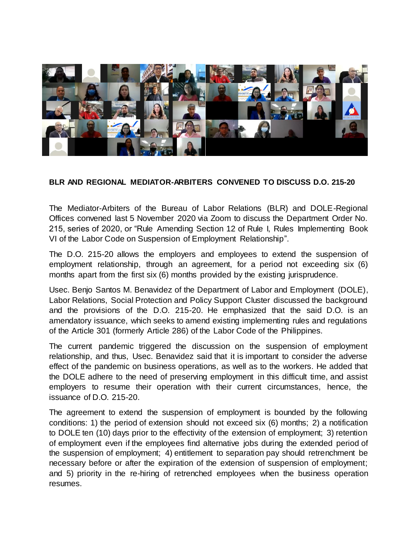

## **BLR AND REGIONAL MEDIATOR-ARBITERS CONVENED TO DISCUSS D.O. 215-20**

The Mediator-Arbiters of the Bureau of Labor Relations (BLR) and DOLE-Regional Offices convened last 5 November 2020 via Zoom to discuss the Department Order No. 215, series of 2020, or "Rule Amending Section 12 of Rule I, Rules Implementing Book VI of the Labor Code on Suspension of Employment Relationship".

The D.O. 215-20 allows the employers and employees to extend the suspension of employment relationship, through an agreement, for a period not exceeding six (6) months apart from the first six (6) months provided by the existing jurisprudence.

Usec. Benjo Santos M. Benavidez of the Department of Labor and Employment (DOLE), Labor Relations, Social Protection and Policy Support Cluster discussed the background and the provisions of the D.O. 215-20. He emphasized that the said D.O. is an amendatory issuance, which seeks to amend existing implementing rules and regulations of the Article 301 (formerly Article 286) of the Labor Code of the Philippines.

The current pandemic triggered the discussion on the suspension of employment relationship, and thus, Usec. Benavidez said that it is important to consider the adverse effect of the pandemic on business operations, as well as to the workers. He added that the DOLE adhere to the need of preserving employment in this difficult time, and assist employers to resume their operation with their current circumstances, hence, the issuance of D.O. 215-20.

The agreement to extend the suspension of employment is bounded by the following conditions: 1) the period of extension should not exceed six (6) months; 2) a notification to DOLE ten (10) days prior to the effectivity of the extension of employment; 3) retention of employment even if the employees find alternative jobs during the extended period of the suspension of employment; 4) entitlement to separation pay should retrenchment be necessary before or after the expiration of the extension of suspension of employment; and 5) priority in the re-hiring of retrenched employees when the business operation resumes.